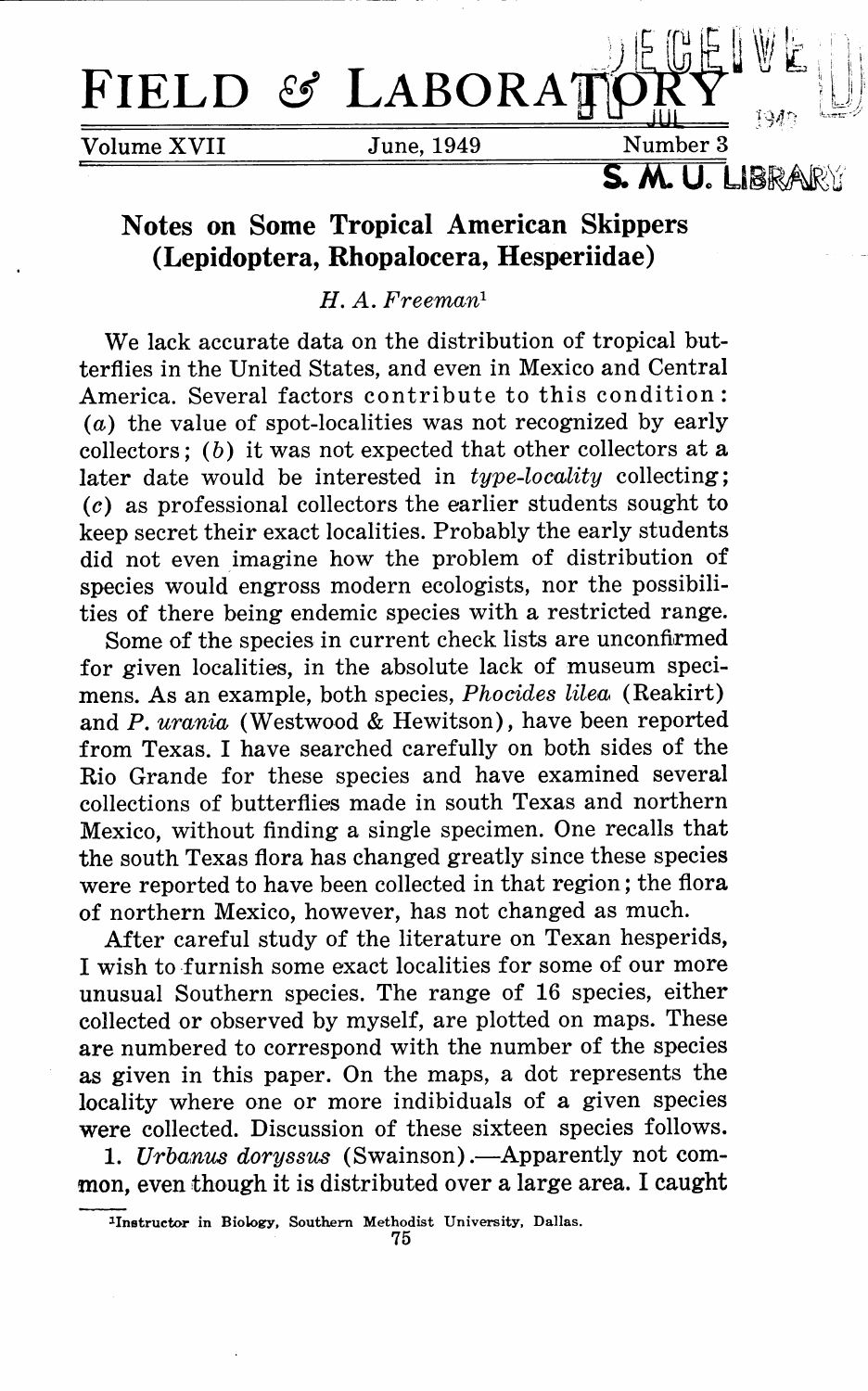

## **Notes on Some Tropical American Skippers (Lepidoptera, Rhopalocera, Hesperiidae)**

*H. A. Freeman <sup>1</sup>*

We lack accurate data on the distribution of tropical butterflies in the United States, and even in Mexico and Central America. Several factors contribute to this condition: (a) the value of spot-localities was not recognized by early collectors;  $(b)$  it was not expected that other collectors at a later date would be interested in *type-locality* collecting; (c) as professional collectors the earlier students sought to keep secret their exact localities. Probably the early students did not even imagine how the problem of distribution of species would engross modern ecologists, nor the possibilities of there being endemic species with a restricted range.

Some of the species in current check lists are unconfirmed for given localities, in the absolute lack of museum specimens. As an example, both species, *Phocides lilea* (Reakirt) and P. *umnia* (Westwood & Hewitson), have been reported from Texas. I have searched carefully on both sides of the Rio Grande for these species and have examined several collections of butterflies made in south Texas and northern Mexico, without finding a single specimen. One recalls that the south Texas flora has changed greatly since these species were reported to have been collected in that region; the flora of northern Mexico, however, has not changed as much.

After careful study of the literature on Texan hesperids, I wish to furnish some exact localities for some of our more unusual Southern species. The range of 16 species, either collected or observed by myself, are plotted on maps. These are numbered to correspond with the number of the species as given in this paper. On the maps, a dot represents the locality where one or more indibiduals of a given species were collected. Discussion of these sixteen species follows.

1. *Urbanus doryssus* (Swainson). - Apparently not common, even though it is distributed over a large area. I caught

<sup>1</sup>Inetructor in Biology, Southern Methodist University, Dallas.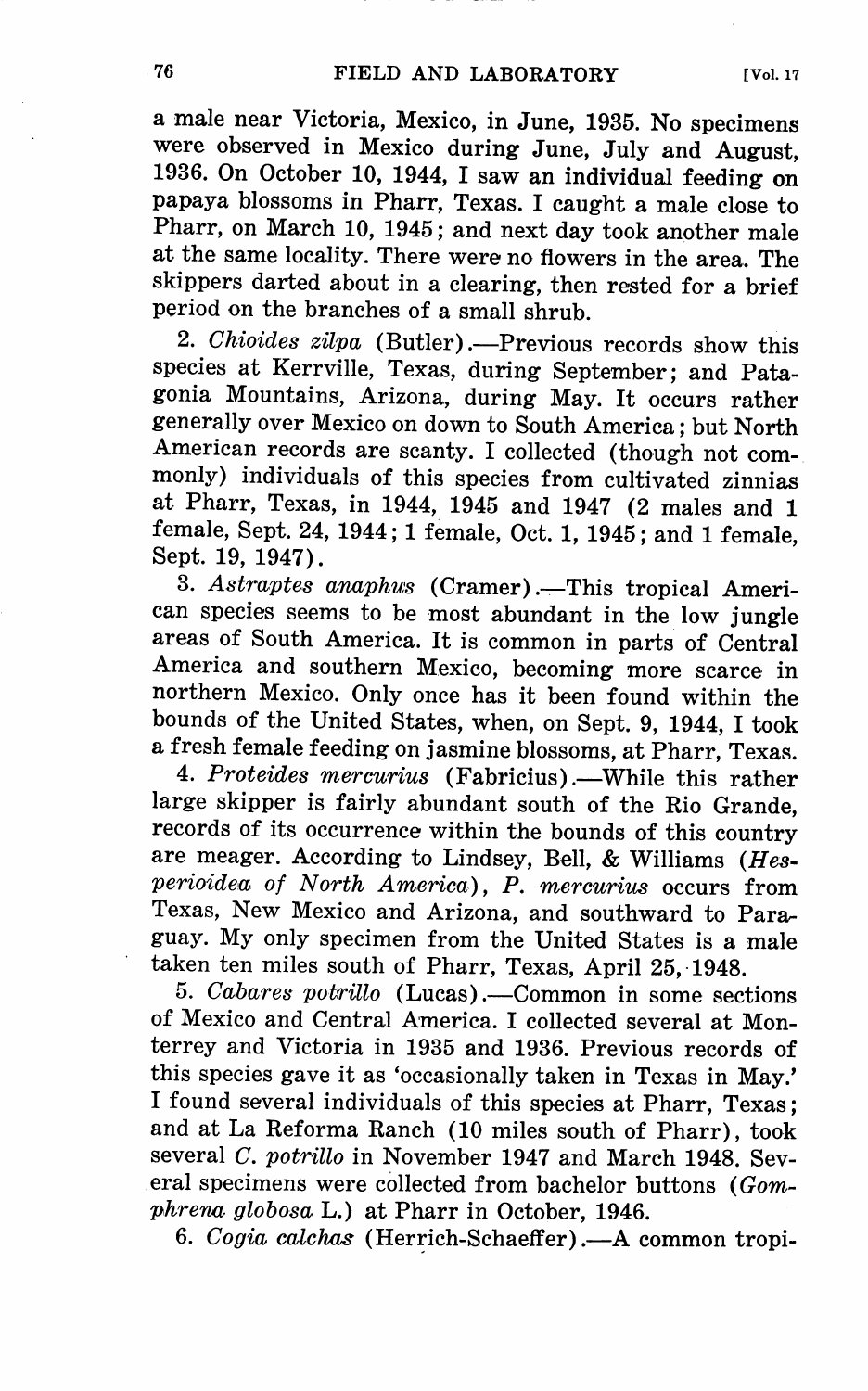a male near Victoria, Mexico, in June, 1935. No specimens were observed in Mexico during June, July and August, 1936. On October 10, 1944, I saw an individual feeding on papaya blossoms in Pharr, Texas. I caught a male close to Pharr, on March 10, 1945; and next day took another male at the same locality. There were no flowers in the area. The skippers darted about in a clearing, then rested for a brief period on the branches of a small shrub.

2. *Chioides zilpa* (Butler).—Previous records show this species at Kerrville, Texas, during September; and Patagonia Mountains, Arizona, during May. It occurs rather generally over Mexico on down to South America; but North American records are scanty. I collected (though not commonly) individuals of this species from cultivated zinnias at Pharr, Texas, in 1944, 1945 and 1947 (2 males and 1 female, Sept. 24, 1944; 1 female, Oct. 1, 1945; and 1 female, Sept. 19, 1947).

3. *Astraptes anaphus* (Cramer) .-- This tropical American species seems to be most abundant in the low jungle areas of South America. It is common in parts of Central America and southern Mexico, becoming more scarce in northern Mexico. Only once has it been found within the bounds of the United States, when, on Sept. 9, 1944, I took a fresh female feeding on jasmine blossoms, at Pharr, Texas.

4. Proteides mercurius (Fabricius).--While this rather large skipper is fairly abundant south of the Rio Grande, records of its occurrence within the bounds of this country are meager. According to Lindsey, Bell, & Williams *(Hesperioidea; of North America), P. mercurius* occurs from Texas, New Mexico and Arizona, and southward to Paraguay. My only specimen from the United States is a male taken ten miles south of Pharr, Texas, April 25, 1948.

5. *Cabares potrillo* (Lucas).—Common in some sections of Mexico and Central America. I collected several at Monterrey and Victoria in 1935 and 1936. Previous records of this species gave it as 'occasionally taken in Texas in May.' I found several individuals of this species at Pharr, Texas; and at La Reforma Ranch (10 miles south of Pharr), took several *C. potrillo* in November 1947 and March 1948. Several specimens were collected from bachelor buttons ( *Gomphrena globosa* L.) at Pharr in October, 1946.

6. *Cogia calchas* (Herrich-Schaeffer) .- A common tropi-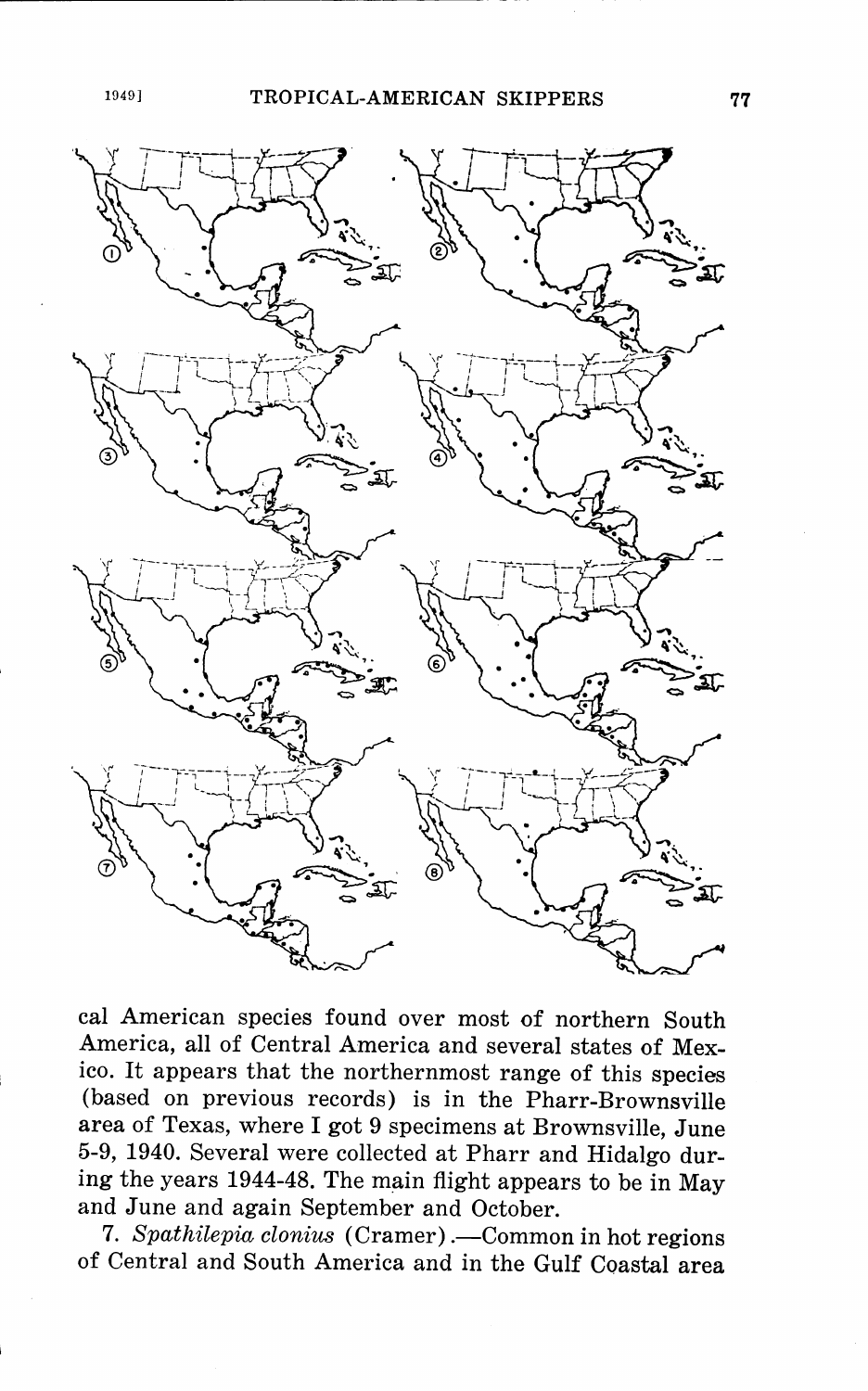

cal American species found over most of northern South America, all of Central America and several states of Mexico. It appears that the northernmost range of this species (based on previous records) is in the Pharr-Brownsville area of Texas, where I got 9 specimens at Brownsville, June 5-9, 1940. Several were collected at Pharr and Hidalgo during the years 1944-48. The main flight appears to be in May and June and again September and October.

7. *Spathilepia clonius* (Cramer).—Common in hot regions of Central and South America and in the Gulf Coastal area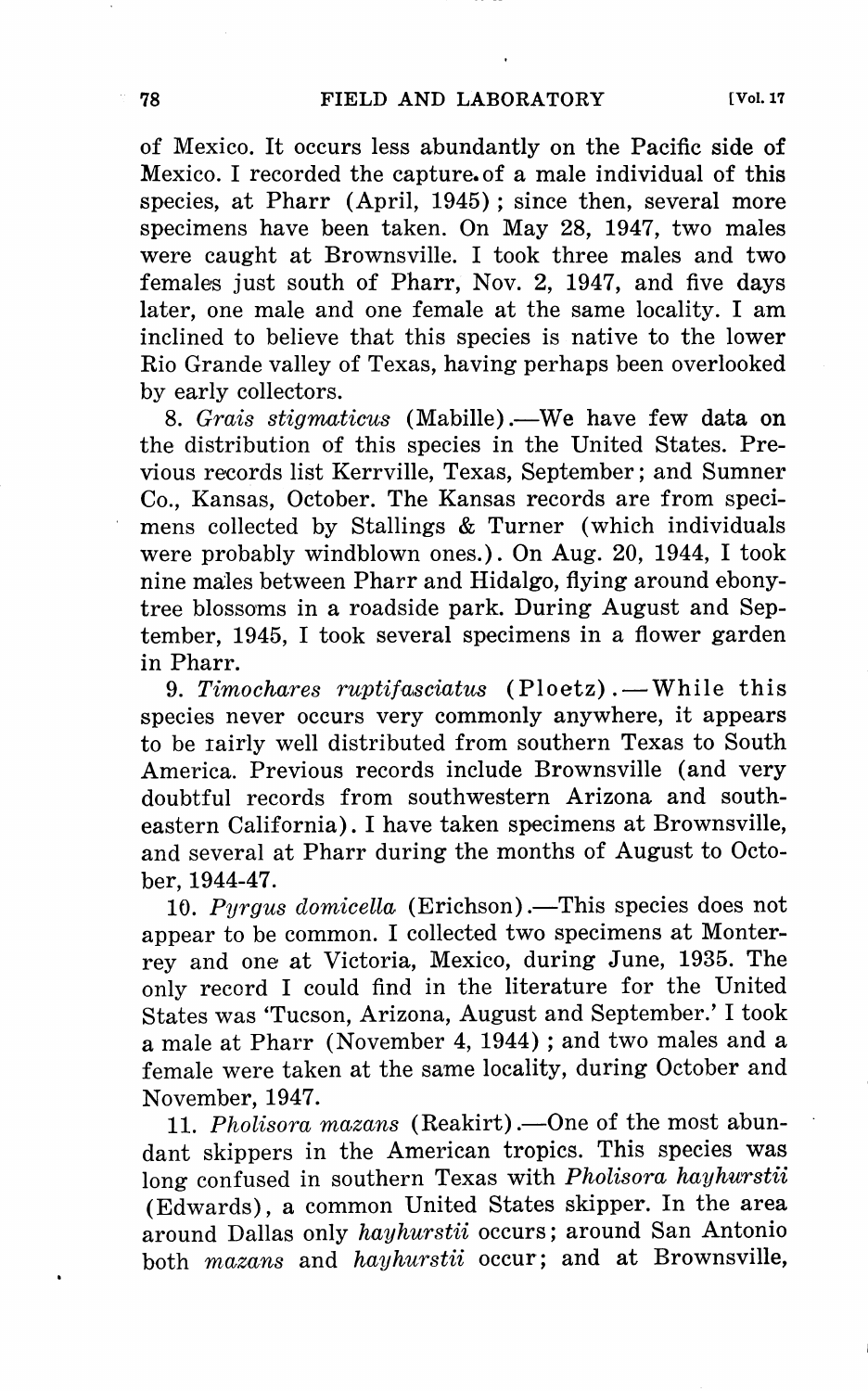of Mexico. It occurs less abundantly on the Pacific side of Mexico. I recorded the capture.of a male individual of this species, at Pharr (April, 1945); since then, several more specimens have been taken. On May 28, 1947, two males were caught at Brownsville. I took three males and two females just south of Pharr, Nov. 2, 1947, and five days later, one male and one female at the same locality. I am inclined to believe that this species is native to the lower Rio Grande valley of Texas, having perhaps been overlooked by early collectors.

8. *Grais stigmaticus* (Mabille).—We have few data on the distribution of this species in the United States. Previous records list Kerrville, Texas, September; and Sumner Co., Kansas, October. The Kansas records are from specimens collected by Stallings & Turner (which individuals were probably windblown ones.). On Aug. 20, 1944, I took nine males between Pharr and Hidalgo, flying around ebonytree blossoms in a roadside park. During August and September, 1945, I took several specimens in a flower garden in Pharr.

9. *Timochares ruptifasciatus* (Ploetz). - While this species never occurs very commonly anywhere, it appears to be rairly well distributed from southern Texas to South America. Previous records include Brownsville (and very doubtful records from southwestern Arizona and southeastern California). I have taken specimens at Brownsville, and several at Pharr during the months of August to October, 1944-47.

10. Pyrgus domicella (Erichson) .- This species does not appear to be common. I collected two specimens at Monterrey and one at Victoria, Mexico, during June, 1935. The only record I could find in the literature for the United States was 'Tucson, Arizona, August and September.' I took a male at Pharr (November 4, 1944); and two males and a female were taken at the same locality, during October and November, 1947.

11. *Pholisora mazans* (Reakirt). - One of the most abundant skippers in the American tropics. This species was long confused in southern Texas with *Pholisora hayhurstii*  (Edwards), a common United States skipper. In the area around Dallas only *hayhurstii* occurs; around San Antonio both *mazans* and *hayhurstii* occur; and at Brownsville,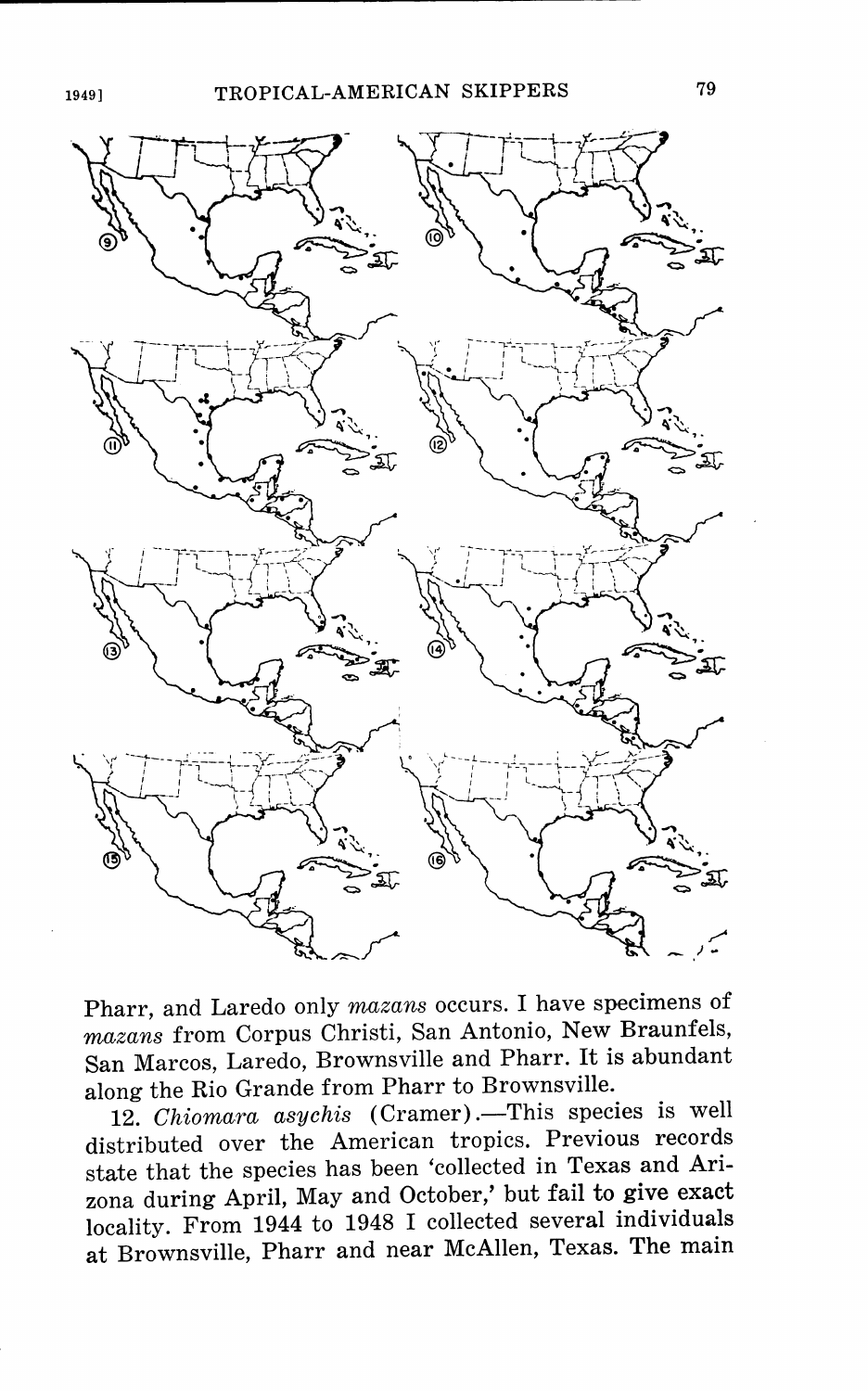

Pharr, and Laredo only *mazans* occurs. I have specimens of *mazans* from Corpus Christi, San Antonio, New Braunfels, San Marcos, Laredo, Brownsville and Pharr. It is abundant along the Rio Grande from Pharr to Brownsville.

12. *Chiomara asychis* (Cramer) .- This species is well distributed over the American tropics. Previous records state that the species has been 'collected in Texas and Arizona during April, May and October,' but fail to give exact locality. From 1944 to 1948 I collected several individuals at Brownsville, Pharr and near McAllen, Texas. The main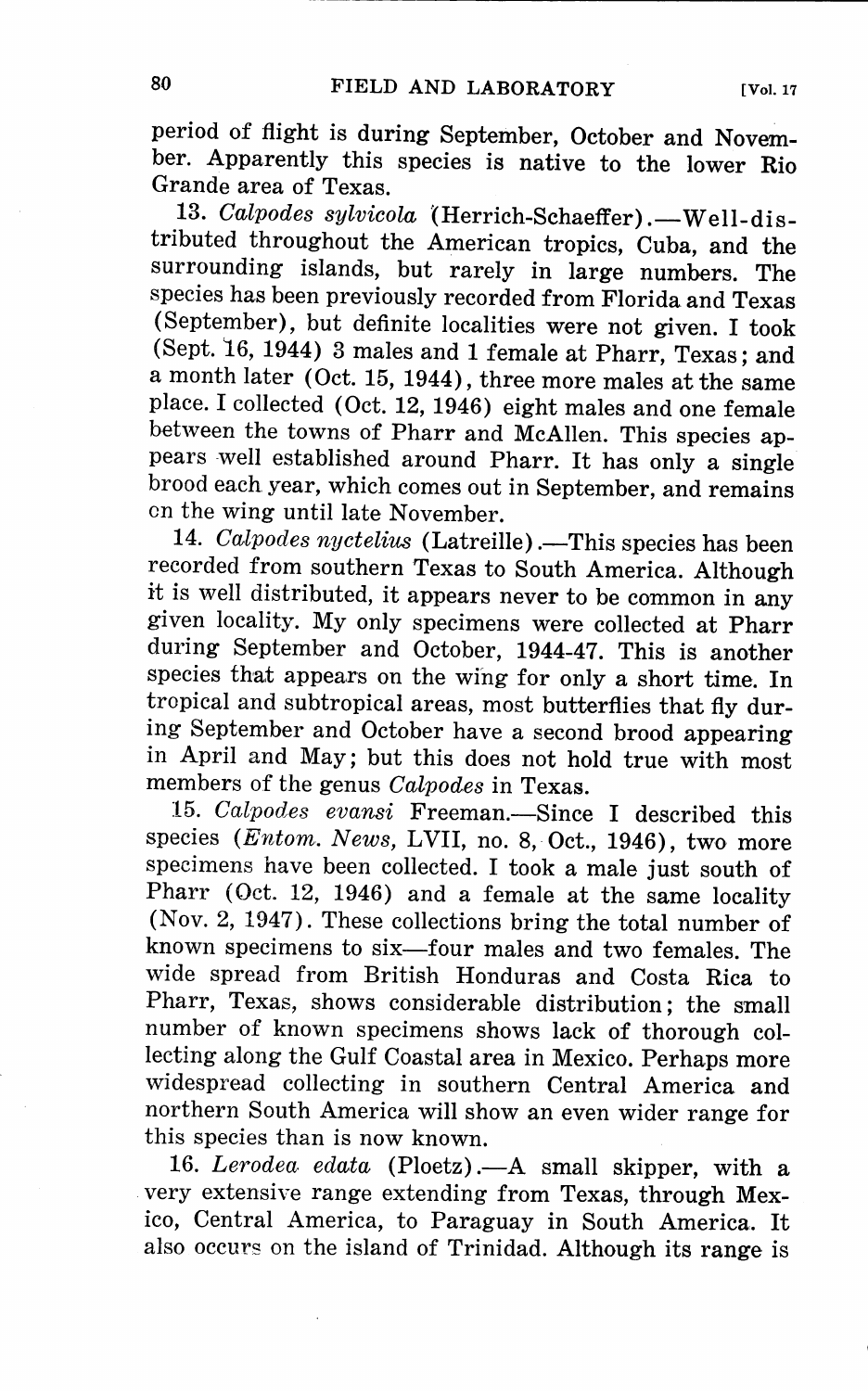period of flight is during September, October and November. Apparently this species is native to the lower Rio Grande area of Texas.

13. *Calpodes sylvicola* (Herrich-Schaeffer). - Well-distributed throughout the American tropics, Cuba, and the surrounding islands, but rarely in large numbers. The species has been previously recorded from Florida and Texas (September), but definite localities were not given. I took (Sept. 16, 1944) 3 males and 1 female at Pharr, Texas; and a month later (Oct. 15, 1944), three more males at the same <sup>p</sup>lace. I collected ( Oct. 12, 1946) eight males and one female between the towns of Pharr and McAllen. This species appears -well established around Pharr. It has only a single brood each year, which comes out in September, and remains on the wing until late November.

14. *Calpodes nyctelius* (Latreille) .- This species has been recorded from southern Texas to South America. Although it is well distributed, it appears never to be common in any <sup>g</sup>iven locality. My only specimens were collected at Pharr during September and October, 1944-47. This is another species that appears on the wing for only a short time. In tropical and subtropical areas, most butterflies that fly during September and October have a second brood appearing in April and May; but this does not hold true with most members of the genus *Calpodes* in Texas.

15. *Calpodes evansi* Freeman.-Since I described this species *(Entom. News, LVII, no. 8, Oct., 1946)*, two more specimens have been collected. I took a male just south of Pharr (Oct. 12, 1946) and a female at the same locality (Nov. 2, 1947). These collections bring the total number of known specimens to six-four males and two females. The wide spread from British Honduras and Costa Rica to Pharr, Texas, shows considerable distribution; the small number of known specimens shows lack of thorough collecting along the Gulf Coastal area in Mexico. Perhaps more widespread collecting in southern Central America and northern South America will show an even wider range for this species than is now known.

16. *Lerodea edata* (Ploetz) .- A small skipper, with a . very extensive range extending from Texas, through Mexico, Central America, to Paraguay in South America. It also occurs on the island of Trinidad. Although its range is